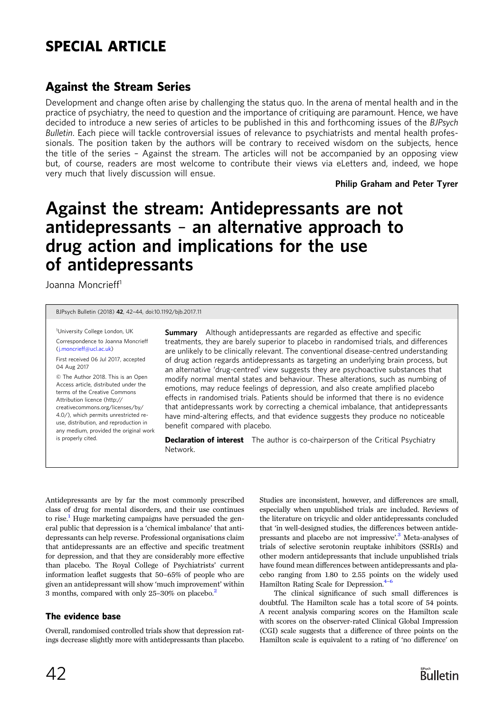# SPECIAL ARTICLE

# Against the Stream Series

Development and change often arise by challenging the status quo. In the arena of mental health and in the practice of psychiatry, the need to question and the importance of critiquing are paramount. Hence, we have decided to introduce a new series of articles to be published in this and forthcoming issues of the BJPsych Bulletin. Each piece will tackle controversial issues of relevance to psychiatrists and mental health professionals. The position taken by the authors will be contrary to received wisdom on the subjects, hence the title of the series – Against the stream. The articles will not be accompanied by an opposing view but, of course, readers are most welcome to contribute their views via eLetters and, indeed, we hope very much that lively discussion will ensue.

Philip Graham and Peter Tyrer

# Against the stream: Antidepressants are not antidepressants – an alternative approach to drug action and implications for the use of antidepressants

Joanna Moncrieff<sup>1</sup>

BJPsych Bulletin (2018) 42, 42–44, doi:10.1192/bjb.2017.11

1University College London, UK Correspondence to Joanna Moncrieff (j.moncrieff[@ucl.ac.uk](mailto:�j.�moncrieff@ucl.ac.uk))

First received 06 Jul 2017, accepted 04 Aug 2017

© The Author 2018. This is an Open Access article, distributed under the terms of the Creative Commons Attribution licence (http:// creativecommons.org/licenses/by/ 4.0/), which permits unrestricted reuse, distribution, and reproduction in any medium, provided the original work is properly cited.

**Summary** Although antidepressants are regarded as effective and specific treatments, they are barely superior to placebo in randomised trials, and differences are unlikely to be clinically relevant. The conventional disease-centred understanding of drug action regards antidepressants as targeting an underlying brain process, but an alternative 'drug-centred' view suggests they are psychoactive substances that modify normal mental states and behaviour. These alterations, such as numbing of emotions, may reduce feelings of depression, and also create amplified placebo effects in randomised trials. Patients should be informed that there is no evidence that antidepressants work by correcting a chemical imbalance, that antidepressants have mind-altering effects, and that evidence suggests they produce no noticeable benefit compared with placebo.

**Declaration of interest** The author is co-chairperson of the Critical Psychiatry Network.

Antidepressants are by far the most commonly prescribed class of drug for mental disorders, and their use continues to rise.<sup>1</sup> Huge marketing campaigns have persuaded the general public that depression is a 'chemical imbalance' that antidepressants can help reverse. Professional organisations claim that antidepressants are an effective and specific treatment for depression, and that they are considerably more effective than placebo. The Royal College of Psychiatrists' current information leaflet suggests that 50–65% of people who are given an antidepressant will show 'much improvement' within 3 months, compared with only 25–30% on placebo.[2](#page-2-0)

## The evidence base

Overall, randomised controlled trials show that depression ratings decrease slightly more with antidepressants than placebo. Studies are inconsistent, however, and differences are small, especially when unpublished trials are included. Reviews of the literature on tricyclic and older antidepressants concluded that 'in well-designed studies, the differences between antidepressants and placebo are not impressive'. [3](#page-2-0) Meta-analyses of trials of selective serotonin reuptake inhibitors (SSRIs) and other modern antidepressants that include unpublished trials have found mean differences between antidepressants and placebo ranging from 1.80 to 2.55 points on the widely used Hamilton Rating Scale for Depression.<sup>4-[6](#page-2-0)</sup>

The clinical significance of such small differences is doubtful. The Hamilton scale has a total score of 54 points. A recent analysis comparing scores on the Hamilton scale with scores on the observer-rated Clinical Global Impression (CGI) scale suggests that a difference of three points on the Hamilton scale is equivalent to a rating of 'no difference' on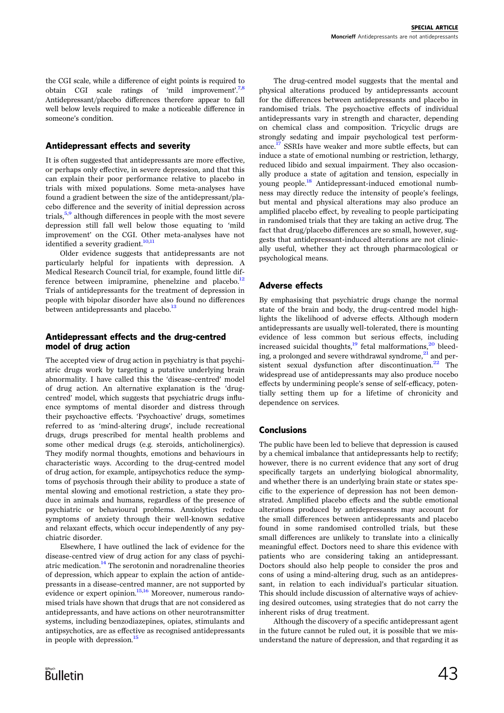the CGI scale, while a difference of eight points is required to obtain CGI scale ratings of 'mild improvement'.<sup>[7](#page-2-0),[8](#page-2-0)</sup> Antidepressant/placebo differences therefore appear to fall well below levels required to make a noticeable difference in someone's condition.

## Antidepressant effects and severity

It is often suggested that antidepressants are more effective, or perhaps only effective, in severe depression, and that this can explain their poor performance relative to placebo in trials with mixed populations. Some meta-analyses have found a gradient between the size of the antidepressant/placebo difference and the severity of initial depression across trials,<sup>[5,9](#page-2-0)</sup> although differences in people with the most severe depression still fall well below those equating to 'mild improvement' on the CGI. Other meta-analyses have not identified a severity gradient.<sup>[10,11](#page-2-0)</sup>

Older evidence suggests that antidepressants are not particularly helpful for inpatients with depression. A Medical Research Council trial, for example, found little dif-ference between imipramine, phenelzine and placebo.<sup>[12](#page-2-0)</sup> Trials of antidepressants for the treatment of depression in people with bipolar disorder have also found no differences between antidepressants and placebo.<sup>13</sup>

#### Antidepressant effects and the drug-centred model of drug action

The accepted view of drug action in psychiatry is that psychiatric drugs work by targeting a putative underlying brain abnormality. I have called this the 'disease-centred' model of drug action. An alternative explanation is the 'drugcentred' model, which suggests that psychiatric drugs influence symptoms of mental disorder and distress through their psychoactive effects. 'Psychoactive' drugs, sometimes referred to as 'mind-altering drugs', include recreational drugs, drugs prescribed for mental health problems and some other medical drugs (e.g. steroids, anticholinergics). They modify normal thoughts, emotions and behaviours in characteristic ways. According to the drug-centred model of drug action, for example, antipsychotics reduce the symptoms of psychosis through their ability to produce a state of mental slowing and emotional restriction, a state they produce in animals and humans, regardless of the presence of psychiatric or behavioural problems. Anxiolytics reduce symptoms of anxiety through their well-known sedative and relaxant effects, which occur independently of any psychiatric disorder.

Elsewhere, I have outlined the lack of evidence for the disease-centred view of drug action for any class of psychiatric medication[.14](#page-2-0) The serotonin and noradrenaline theories of depression, which appear to explain the action of antidepressants in a disease-centred manner, are not supported by evidence or expert opinion. $15,16$  Moreover, numerous randomised trials have shown that drugs that are not considered as antidepressants, and have actions on other neurotransmitter systems, including benzodiazepines, opiates, stimulants and antipsychotics, are as effective as recognised antidepressants in people with depression.<sup>[15](#page-2-0)</sup>

The drug-centred model suggests that the mental and physical alterations produced by antidepressants account for the differences between antidepressants and placebo in randomised trials. The psychoactive effects of individual antidepressants vary in strength and character, depending on chemical class and composition. Tricyclic drugs are strongly sedating and impair psychological test performance.[17](#page-2-0) SSRIs have weaker and more subtle effects, but can induce a state of emotional numbing or restriction, lethargy, reduced libido and sexual impairment. They also occasionally produce a state of agitation and tension, especially in young people.<sup>18</sup> Antidepressant-induced emotional numbness may directly reduce the intensity of people's feelings, but mental and physical alterations may also produce an amplified placebo effect, by revealing to people participating in randomised trials that they are taking an active drug. The fact that drug/placebo differences are so small, however, suggests that antidepressant-induced alterations are not clinically useful, whether they act through pharmacological or psychological means.

# Adverse effects

By emphasising that psychiatric drugs change the normal state of the brain and body, the drug-centred model highlights the likelihood of adverse effects. Although modern antidepressants are usually well-tolerated, there is mounting evidence of less common but serious effects, including increased suicidal thoughts,<sup>19</sup> fetal malformations,<sup>[20](#page-2-0)</sup> bleeding, a prolonged and severe withdrawal syndrome, $2i$  and per-sistent sexual dysfunction after discontinuation.<sup>[22](#page-2-0)</sup> The widespread use of antidepressants may also produce nocebo effects by undermining people's sense of self-efficacy, potentially setting them up for a lifetime of chronicity and dependence on services.

## Conclusions

The public have been led to believe that depression is caused by a chemical imbalance that antidepressants help to rectify; however, there is no current evidence that any sort of drug specifically targets an underlying biological abnormality, and whether there is an underlying brain state or states specific to the experience of depression has not been demonstrated. Amplified placebo effects and the subtle emotional alterations produced by antidepressants may account for the small differences between antidepressants and placebo found in some randomised controlled trials, but these small differences are unlikely to translate into a clinically meaningful effect. Doctors need to share this evidence with patients who are considering taking an antidepressant. Doctors should also help people to consider the pros and cons of using a mind-altering drug, such as an antidepressant, in relation to each individual's particular situation. This should include discussion of alternative ways of achieving desired outcomes, using strategies that do not carry the inherent risks of drug treatment.

Although the discovery of a specific antidepressant agent in the future cannot be ruled out, it is possible that we misunderstand the nature of depression, and that regarding it as